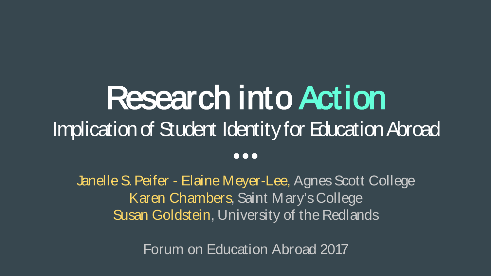# Research into Action Implication of Student Identity for Education Abroad  $\bullet\bullet\bullet$

Janelle S. Peifer - Elaine Meyer-Lee, Agnes Scott College Karen Chambers, Saint Mary's College Susan Goldstein, University of the Redlands

Forum on Education Abroad 2017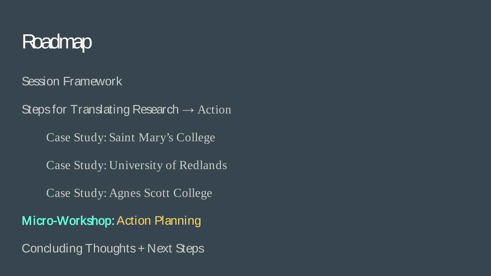#### Roadmap

Session Framework

Steps for Translating Research  $\rightarrow$  Action

Case Study: Saint Mary's College

Case Study: University of Redlands

Case Study: Agnes Scott College

Micro-Workshop: Action Planning

Concluding Thoughts + Next Steps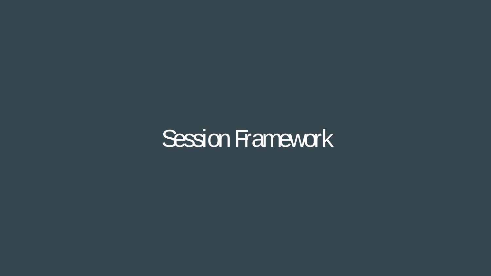## Session Framework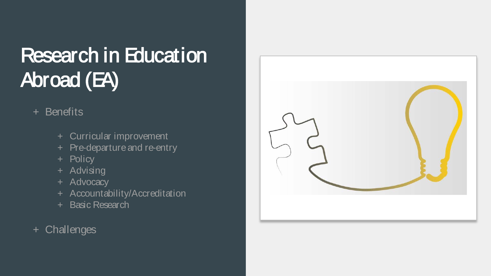## Research in Education Abroad (EA)

#### + Benefits

- + Curricular improvement
- + Pre-departure and re-entry
- + Policy
- + Advising
- + Advocacy
- + Accountability/Accreditation
- + Basic Research
- + Challenges

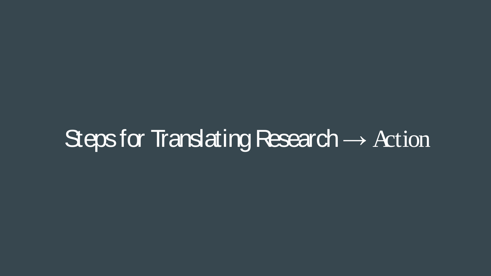# Steps for Translating Research  $\rightarrow$  Action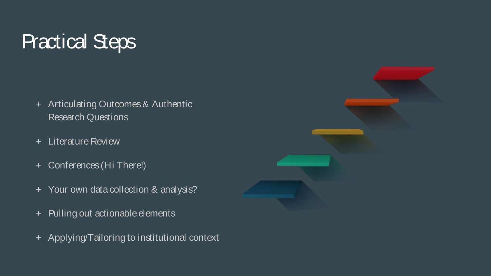#### Practical Steps

- + Articulating Outcomes & Authentic Research Questions
- + Literature Review
- + Conferences (Hi There!)
- + Your own data collection & analysis?
- + Pulling out actionable elements
- + Applying/Tailoring to institutional context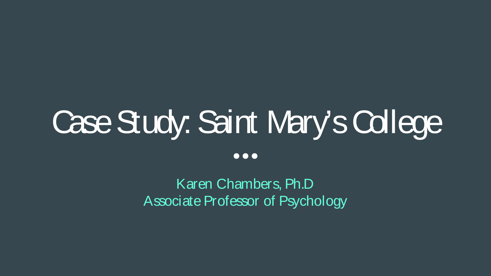# Case Study: Saint Mary's College

 $\bullet\bullet\bullet$ 

Karen Chambers, Ph.D Associate Professor of Psychology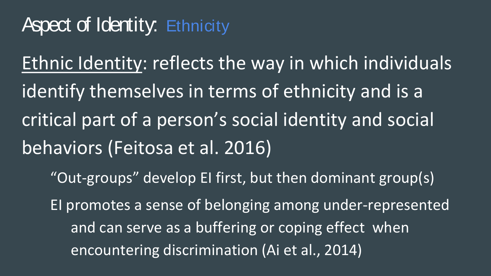#### Aspect of Identity: Ethnicity

Ethnic Identity: reflects the way in which individuals identify themselves in terms of ethnicity and is a critical part of a person's social identity and social behaviors (Feitosa et al. 2016) "Out-groups" develop EI first, but then dominant group(s) EI promotes a sense of belonging among under-represented and can serve as a buffering or coping effect when encountering discrimination (Ai et al., 2014)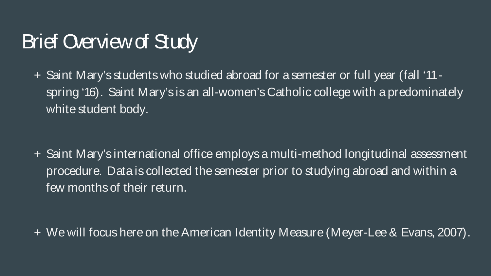#### Brief Overview of Study

+ Saint Mary's students who studied abroad for a semester or full year (fall '11 spring '16). Saint Mary's is an all-women's Catholic college with a predominately white student body.

+ Saint Mary's international office employs a multi-method longitudinal assessment procedure. Data is collected the semester prior to studying abroad and within a few months of their return.

+ We will focus here on the American Identity Measure (Meyer-Lee & Evans, 2007).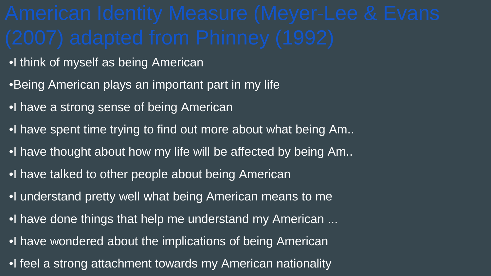- •I think of myself as being American
- •Being American plays an important part in my life
- •I have a strong sense of being American
- •I have spent time trying to find out more about what being Am..
- •I have thought about how my life will be affected by being Am..
- •I have talked to other people about being American
- •I understand pretty well what being American means to me
- •I have done things that help me understand my American ...
- •I have wondered about the implications of being American
- •I feel a strong attachment towards my American nationality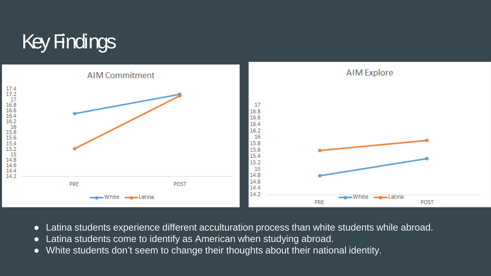## Key Findings



- Latina students experience different acculturation process than white students while abroad.
- Latina students come to identify as American when studying abroad.
- White students don't seem to change their thoughts about their national identity.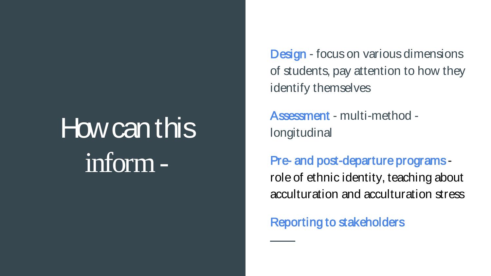# How can this inform -

Design - focus on various dimensions of students, pay attention to how they identify themselves

Assessment - multi-method longitudinal

Pre- and post-departure programs role of ethnic identity, teaching about acculturation and acculturation stress

Reporting to stakeholders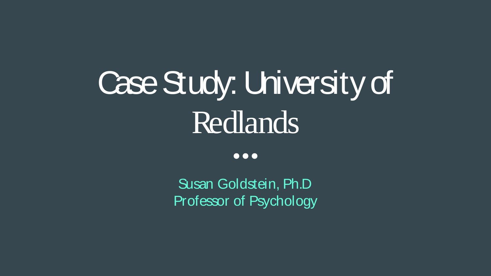# Case Study: University of Redlands

 $\bullet\bullet\bullet$ 

Susan Goldstein, Ph.D Professor of Psychology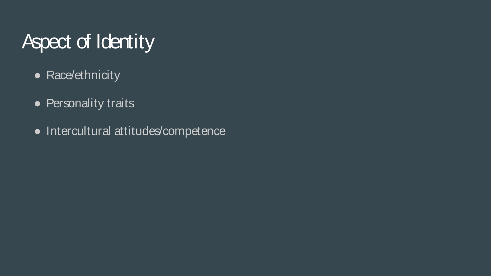## Aspect of Identity

- Race/ethnicity
- Personality traits
- Intercultural attitudes/competence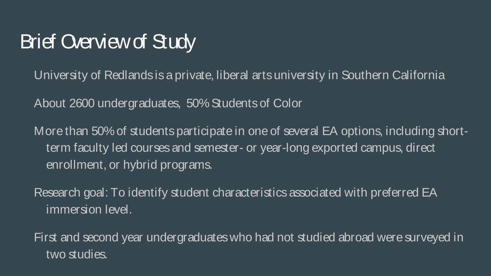#### Brief Overview of Study

University of Redlands is a private, liberal arts university in Southern California

About 2600 undergraduates, 50% Students of Color

More than 50% of students participate in one of several EA options, including shortterm faculty led courses and semester- or year-long exported campus, direct enrollment, or hybrid programs.

Research goal: To identify student characteristics associated with preferred EA immersion level.

First and second year undergraduates who had not studied abroad were surveyed in two studies.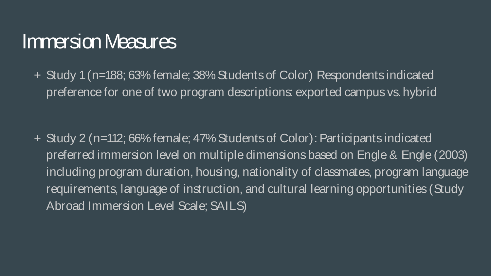#### Immersion Measures

+ Study 1 (n=188; 63% female; 38% Students of Color) Respondents indicated preference for one of two program descriptions: exported campus vs. hybrid

+ Study 2 (n=112; 66% female; 47% Students of Color): Participants indicated preferred immersion level on multiple dimensions based on Engle & Engle (2003) including program duration, housing, nationality of classmates, program language requirements, language of instruction, and cultural learning opportunities (Study Abroad Immersion Level Scale; SAILS)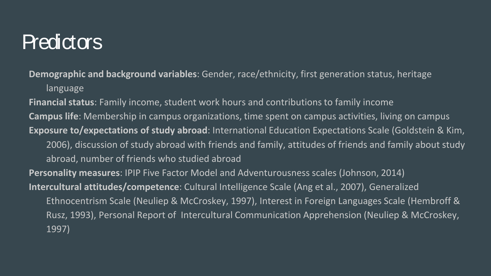#### **Predictors**

**Demographic and background variables**: Gender, race/ethnicity, first generation status, heritage language

**Financial status**: Family income, student work hours and contributions to family income **Campus life**: Membership in campus organizations, time spent on campus activities, living on campus **Exposure to/expectations of study abroad**: International Education Expectations Scale (Goldstein & Kim, 2006), discussion of study abroad with friends and family, attitudes of friends and family about study abroad, number of friends who studied abroad **Personality measures**: IPIP Five Factor Model and Adventurousness scales (Johnson, 2014) **Intercultural attitudes/competence**: Cultural Intelligence Scale (Ang et al., 2007), Generalized Ethnocentrism Scale (Neuliep & McCroskey, 1997), Interest in Foreign Languages Scale (Hembroff & Rusz, 1993), Personal Report of Intercultural Communication Apprehension (Neuliep & McCroskey, 1997)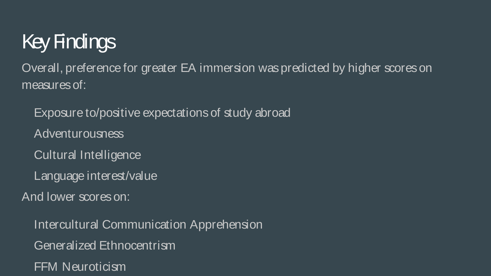## Key Findings

Overall, preference for greater EA immersion was predicted by higher scores on measures of:

Exposure to/positive expectations of study abroad

Adventurousness

Cultural Intelligence

Language interest/value

And lower scores on:

Intercultural Communication Apprehension Generalized Ethnocentrism FFM Neuroticism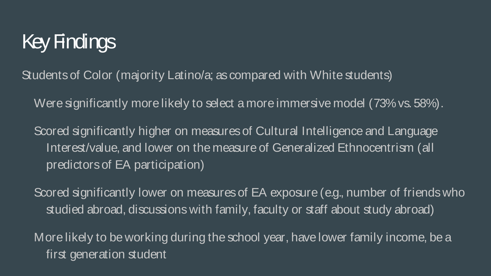#### Key Findings

Students of Color (majority Latino/a; as compared with White students)

Were significantly more likely to select a more immersive model (73% vs. 58%).

Scored significantly higher on measures of Cultural Intelligence and Language Interest/value, and lower on the measure of Generalized Ethnocentrism (all predictors of EA participation)

Scored significantly lower on measures of EA exposure (e.g., number of friends who studied abroad, discussions with family, faculty or staff about study abroad)

More likely to be working during the school year, have lower family income, be a first generation student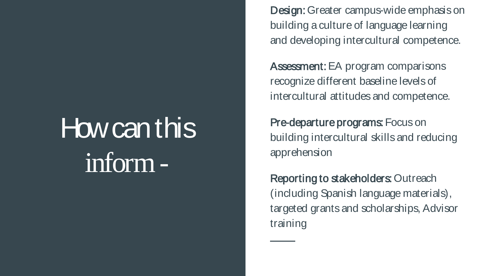# How can this inform -

Design: Greater campus-wide emphasis on building a culture of language learning and developing intercultural competence.

Assessment: EA program comparisons recognize different baseline levels of intercultural attitudes and competence.

Pre-departure programs: Focus on building intercultural skills and reducing apprehension

Reporting to stakeholders: Outreach (including Spanish language materials), targeted grants and scholarships, Advisor training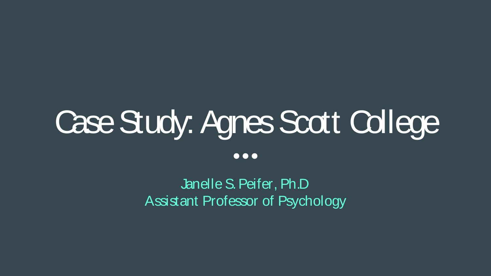# Case Study: Agnes Scott College

 $\bullet\bullet\bullet$ 

Janelle S. Peifer, Ph.D Assistant Professor of Psychology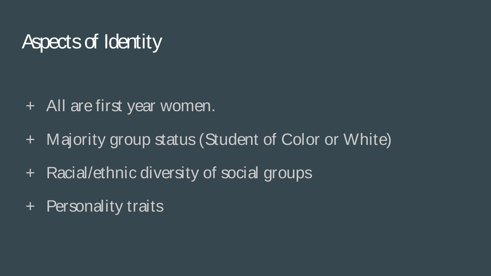#### Aspects of Identity

- + All are first year women.
- + Majority group status (Student of Color or White)
- + Racial/ethnic diversity of social groups
- + Personality traits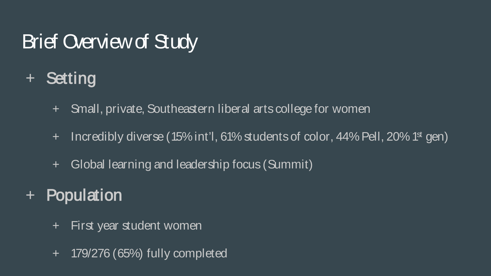### Brief Overview of Study

- + Setting
	- + Small, private, Southeastern liberal arts college for women
	- $+$  Incredibly diverse (15% int'l, 61% students of color, 44% Pell, 20% 1st gen)
	- + Global learning and leadership focus (Summit)
- + Population
	- + First year student women
	- + 179/276 (65%) fully completed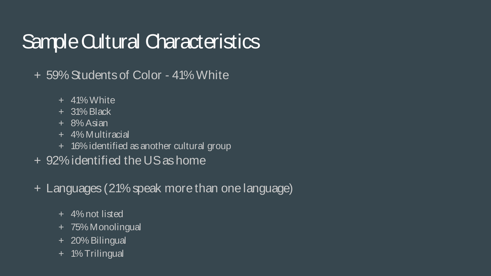#### Sample Cultural Characteristics

- + 59% Students of Color 41% White
	- + 41% White
	- + 31% Black
	- + 8% Asian
	- + 4% Multiracial
	- + 16% identified as another cultural group
- + 92% identified the US as home
- + Languages (21% speak more than one language)
	- + 4% not listed
	- + 75% Monolingual
	- + 20% Bilingual
	- + 1% Trilingual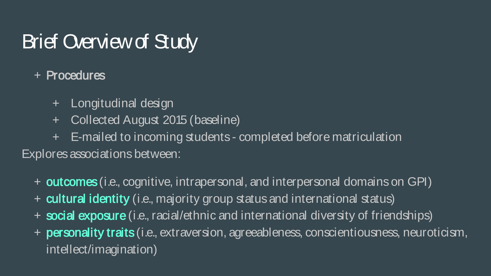#### Brief Overview of Study

#### + Procedures

- + Longitudinal design
- + Collected August 2015 (baseline)
- + E-mailed to incoming students completed before matriculation Explores associations between:
	- + outcomes (i.e., cognitive, intrapersonal, and interpersonal domains on GPI)
	- + cultural identity (i.e., majority group status and international status)
	- + social exposure (i.e., racial/ethnic and international diversity of friendships)
	- + **personality traits** (i.e., extraversion, agreeableness, conscientiousness, neuroticism, intellect/imagination)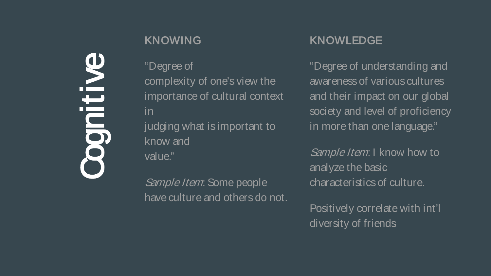# **ntilve**

#### KNOWING

"Degree of complexity of one's view the importance of cultural context in judging what is important to know and value."

Sample Item: Some people have culture and others do not.

#### KNOWLEDGE

"Degree of understanding and awareness of various cultures and their impact on our global society and level of proficiency in more than one language."

Sample Item: I know how to analyze the basic characteristics of culture.

Positively correlate with int'l diversity of friends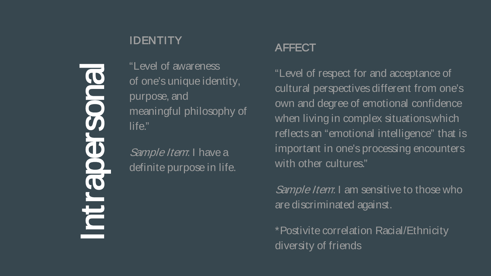# Intrapersonal 3003 BO **Pira**

**IDENTITY** 

"Level of awareness of one's unique identity, purpose, and meaningful philosophy of life."

Sample Item: I have a definite purpose in life.

#### AFFECT

"Level of respect for and acceptance of cultural perspectives different from one's own and degree of emotional confidence when living in complex situations,which reflects an "emotional intelligence" that is important in one's processing encounters with other cultures."

Sample Item: I am sensitive to those who are discriminated against.

\*Postivite correlation Racial/Ethnicity diversity of friends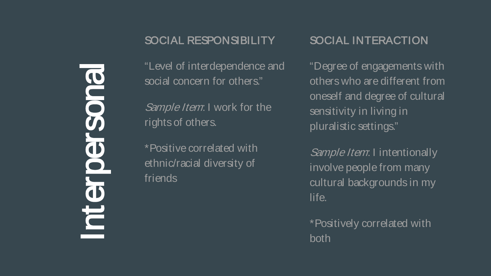Interpersonal **NO** C C E

#### SOCIAL RESPONSIBILITY

"Level of interdependence and social concern for others."

Sample Item: I work for the rights of others.

\*Positive correlated with ethnic/racial diversity of friends

#### SOCIAL INTERACTION

"Degree of engagements with others who are different from oneself and degree of cultural sensitivity in living in pluralistic settings."

Sample Item: I intentionally involve people from many cultural backgrounds in my life.

\*Positively correlated with both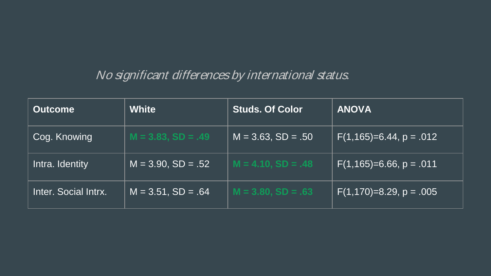#### No significant differences by international status.

| <b>Outcome</b>       | <b>White</b>            | <b>Studs. Of Color</b>  | <b>ANOVA</b>            |
|----------------------|-------------------------|-------------------------|-------------------------|
| Cog. Knowing         | $M = 3.83, SD = .49$    | $M = 3.63$ , $SD = .50$ | $F(1,165)=6.44, p=.012$ |
| Intra. Identity      | $M = 3.90$ , $SD = .52$ | $M = 4.10, SD = .48$    | $F(1,165)=6.66, p=.011$ |
| Inter. Social Intrx. | $M = 3.51$ , $SD = .64$ | $M = 3.80, SD = .63$    | $F(1,170)=8.29, p=.005$ |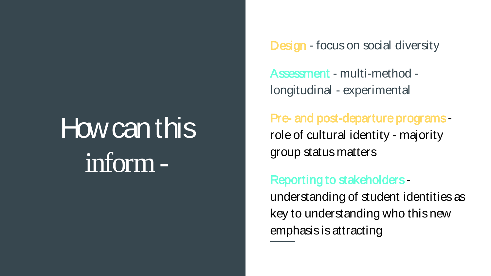# How can this inform -

Design - focus on social diversity

Assessment - multi-method longitudinal - experimental

Pre- and post-departure programs role of cultural identity - majority group status matters

#### Reporting to stakeholders -

understanding of student identities as key to understanding who this new emphasis is attracting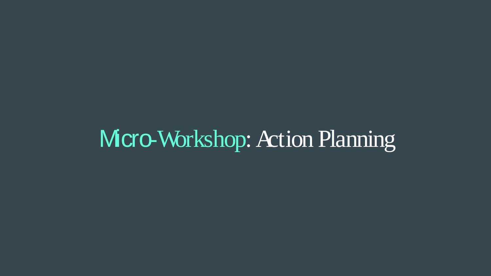# Mcro-Workshop: Action Planning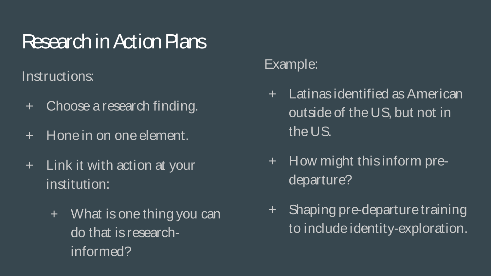#### Research in Action Plans

Instructions:

- + Choose a research finding.
- + Hone in on one element.
- + Link it with action at your institution:
	- + What is one thing you can do that is researchinformed?

#### Example:

- + Latinas identified as American outside of the US, but not in the US.
- + How might this inform predeparture?
- + Shaping pre-departure training to include identity-exploration.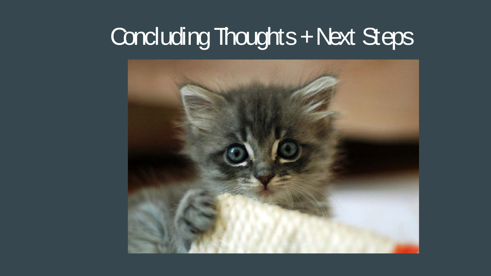## Concluding Thoughts + Next Steps

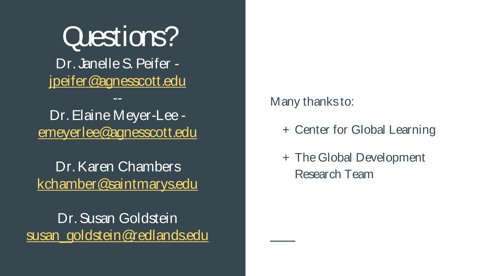Questions? Dr. Janelle S. Peifer [jpeifer@agnesscott.edu](mailto:jpeifer@agnesscott.edu)

Dr. Elaine Meyer-Lee [emeyerlee@agnesscott.edu](mailto:emeyerlee@agnesscott.edu)

--

Dr. Karen Chambers [kchamber@saintmarys.edu](mailto:kchamber@saintmarys.edu)

Dr. Susan Goldstein [susan\\_goldstein@redlands.edu](mailto:susan_goldstein@redlands.edu) Many thanks to:

- + Center for Global Learning
- + The Global Development Research Team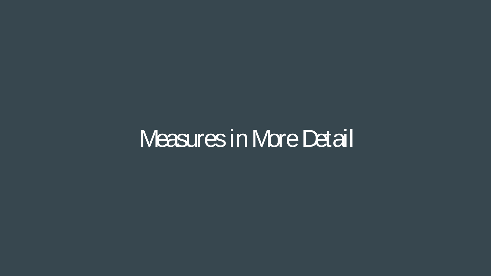## Measures in More Detail